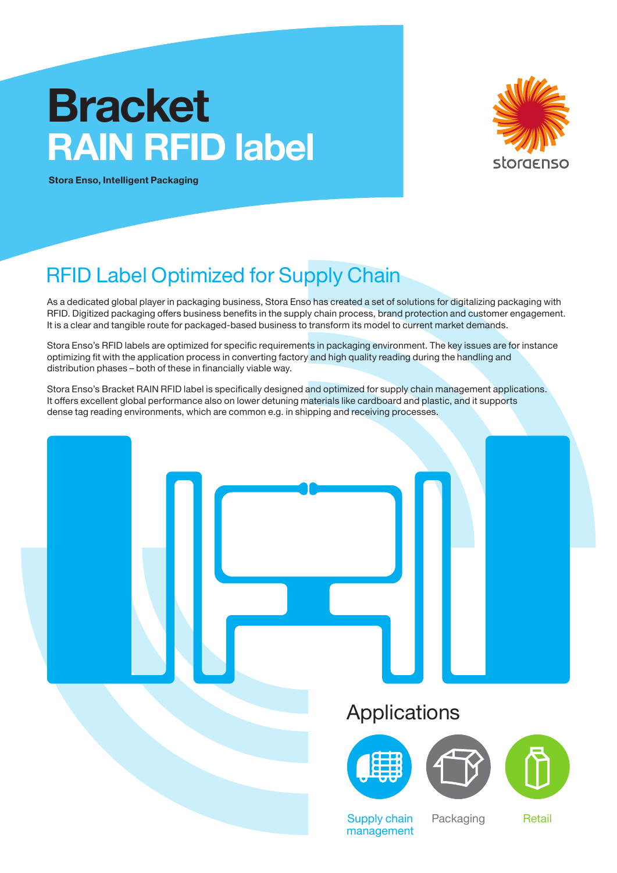# **Bracket RAIN RFID label**



**Stora Enso, Intelligent Packaging**

# RFID Label Optimized for Supply Chain

As a dedicated global player in packaging business, Stora Enso has created a set of solutions for digitalizing packaging with RFID. Digitized packaging offers business benefits in the supply chain process, brand protection and customer engagement. It is a clear and tangible route for packaged-based business to transform its model to current market demands.

Stora Enso's RFID labels are optimized for specific requirements in packaging environment. The key issues are for instance optimizing fit with the application process in converting factory and high quality reading during the handling and distribution phases – both of these in financially viable way.

Stora Enso's Bracket RAIN RFID label is specifically designed and optimized for supply chain management applications. It offers excellent global performance also on lower detuning materials like cardboard and plastic, and it supports dense tag reading environments, which are common e.g. in shipping and receiving processes.

### Applications







Supply chain management Packaging Retail